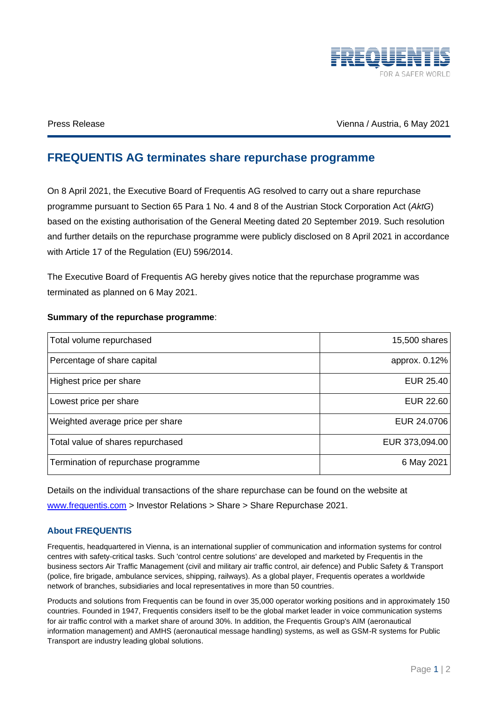

Press Release Vienna / Austria, 6 May 2021

## **FREQUENTIS AG terminates share repurchase programme**

On 8 April 2021, the Executive Board of Frequentis AG resolved to carry out a share repurchase programme pursuant to Section 65 Para 1 No. 4 and 8 of the Austrian Stock Corporation Act (*AktG*) based on the existing authorisation of the General Meeting dated 20 September 2019. Such resolution and further details on the repurchase programme were publicly disclosed on 8 April 2021 in accordance with Article 17 of the Regulation (EU) 596/2014.

The Executive Board of Frequentis AG hereby gives notice that the repurchase programme was terminated as planned on 6 May 2021.

| Total volume repurchased            | 15,500 shares    |
|-------------------------------------|------------------|
| Percentage of share capital         | approx. 0.12%    |
| Highest price per share             | EUR 25.40        |
| Lowest price per share              | <b>EUR 22.60</b> |
| Weighted average price per share    | EUR 24.0706      |
| Total value of shares repurchased   | EUR 373,094.00   |
| Termination of repurchase programme | 6 May 2021       |

## **Summary of the repurchase programme**:

Details on the individual transactions of the share repurchase can be found on the website at [www.frequentis.com](http://www.frequentis.com/) > Investor Relations > Share > Share Repurchase 2021.

## **About FREQUENTIS**

Frequentis, headquartered in Vienna, is an international supplier of communication and information systems for control centres with safety-critical tasks. Such 'control centre solutions' are developed and marketed by Frequentis in the business sectors Air Traffic Management (civil and military air traffic control, air defence) and Public Safety & Transport (police, fire brigade, ambulance services, shipping, railways). As a global player, Frequentis operates a worldwide network of branches, subsidiaries and local representatives in more than 50 countries.

Products and solutions from Frequentis can be found in over 35,000 operator working positions and in approximately 150 countries. Founded in 1947, Frequentis considers itself to be the global market leader in voice communication systems for air traffic control with a market share of around 30%. In addition, the Frequentis Group's AIM (aeronautical information management) and AMHS (aeronautical message handling) systems, as well as GSM-R systems for Public Transport are industry leading global solutions.